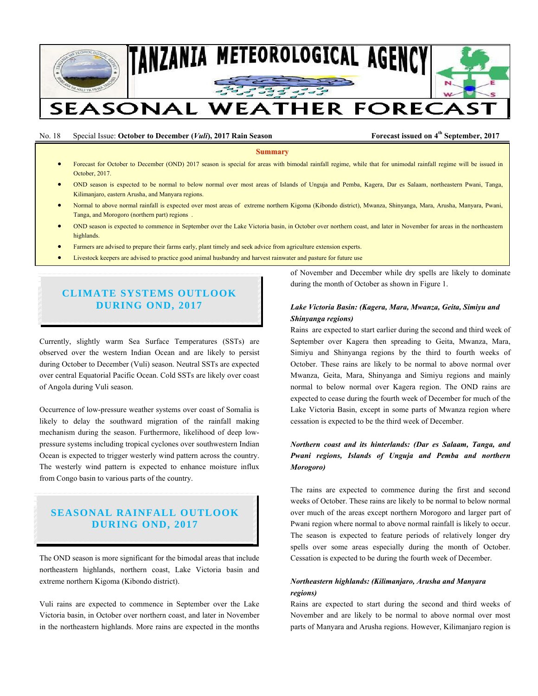

## No. 18 Special Issue: October to December (*Vuli*), 2017 Rain Season Forecast issued on 4<sup>th</sup> September, 2017

**Summary**

- Forecast for October to December (OND) 2017 season is special for areas with bimodal rainfall regime, while that for unimodal rainfall regime will be issued in October, 2017.
- OND season is expected to be normal to below normal over most areas of Islands of Unguja and Pemba, Kagera, Dar es Salaam, northeastern Pwani, Tanga, Kilimanjaro, eastern Arusha, and Manyara regions.
- Normal to above normal rainfall is expected over most areas of extreme northern Kigoma (Kibondo district), Mwanza, Shinyanga, Mara, Arusha, Manyara, Pwani, Tanga, and Morogoro (northern part) regions .
- OND season is expected to commence in September over the Lake Victoria basin, in October over northern coast, and later in November for areas in the northeastern highlands.
- Farmers are advised to prepare their farms early, plant timely and seek advice from agriculture extension experts.
- Livestock keepers are advised to practice good animal husbandry and harvest rainwater and pasture for future use

# **CLIMATE SYSTEMS OUTLOOK DURING OND, 2017**

Currently, slightly warm Sea Surface Temperatures (SSTs) are observed over the western Indian Ocean and are likely to persist during October to December (Vuli) season. Neutral SSTs are expected over central Equatorial Pacific Ocean. Cold SSTs are likely over coast of Angola during Vuli season.

Occurrence of low-pressure weather systems over coast of Somalia is likely to delay the southward migration of the rainfall making mechanism during the season. Furthermore, likelihood of deep lowpressure systems including tropical cyclones over southwestern Indian Ocean is expected to trigger westerly wind pattern across the country. The westerly wind pattern is expected to enhance moisture influx from Congo basin to various parts of the country.

# **SEASONAL RAINFALL OUTLOOK DURING OND, 2017**

The OND season is more significant for the bimodal areas that include northeastern highlands, northern coast, Lake Victoria basin and extreme northern Kigoma (Kibondo district).

Vuli rains are expected to commence in September over the Lake Victoria basin, in October over northern coast, and later in November in the northeastern highlands. More rains are expected in the months

of November and December while dry spells are likely to dominate during the month of October as shown in Figure 1.

#### *Lake Victoria Basin: (Kagera, Mara, Mwanza, Geita, Simiyu and Shinyanga regions)*

Rains are expected to start earlier during the second and third week of September over Kagera then spreading to Geita, Mwanza, Mara, Simiyu and Shinyanga regions by the third to fourth weeks of October. These rains are likely to be normal to above normal over Mwanza, Geita, Mara, Shinyanga and Simiyu regions and mainly normal to below normal over Kagera region. The OND rains are expected to cease during the fourth week of December for much of the Lake Victoria Basin, except in some parts of Mwanza region where cessation is expected to be the third week of December.

## *Northern coast and its hinterlands: (Dar es Salaam, Tanga, and Pwani regions, Islands of Unguja and Pemba and northern Morogoro)*

The rains are expected to commence during the first and second weeks of October. These rains are likely to be normal to below normal over much of the areas except northern Morogoro and larger part of Pwani region where normal to above normal rainfall is likely to occur. The season is expected to feature periods of relatively longer dry spells over some areas especially during the month of October. Cessation is expected to be during the fourth week of December.

## *Northeastern highlands: (Kilimanjaro, Arusha and Manyara regions)*

Rains are expected to start during the second and third weeks of November and are likely to be normal to above normal over most parts of Manyara and Arusha regions. However, Kilimanjaro region is